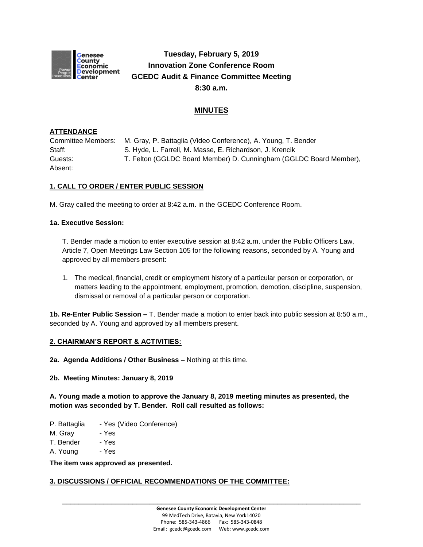

# **Tuesday, February 5, 2019 Innovation Zone Conference Room GCEDC Audit & Finance Committee Meeting 8:30 a.m.**

## **MINUTES**

#### **ATTENDANCE**

Committee Members: M. Gray, P. Battaglia (Video Conference), A. Young, T. Bender Staff: S. Hyde, L. Farrell, M. Masse, E. Richardson, J. Krencik Guests: T. Felton (GGLDC Board Member) D. Cunningham (GGLDC Board Member), Absent:

## **1. CALL TO ORDER / ENTER PUBLIC SESSION**

M. Gray called the meeting to order at 8:42 a.m. in the GCEDC Conference Room.

#### **1a. Executive Session:**

T. Bender made a motion to enter executive session at 8:42 a.m. under the Public Officers Law, Article 7, Open Meetings Law Section 105 for the following reasons, seconded by A. Young and approved by all members present:

1. The medical, financial, credit or employment history of a particular person or corporation, or matters leading to the appointment, employment, promotion, demotion, discipline, suspension, dismissal or removal of a particular person or corporation.

**1b. Re-Enter Public Session –** T. Bender made a motion to enter back into public session at 8:50 a.m., seconded by A. Young and approved by all members present.

#### **2. CHAIRMAN'S REPORT & ACTIVITIES:**

**2a. Agenda Additions / Other Business** – Nothing at this time.

**2b. Meeting Minutes: January 8, 2019**

**A. Young made a motion to approve the January 8, 2019 meeting minutes as presented, the motion was seconded by T. Bender. Roll call resulted as follows:**

- P. Battaglia Yes (Video Conference)
- M. Gray Yes
- T. Bender Yes
- A. Young Yes

**The item was approved as presented.**

#### **3. DISCUSSIONS / OFFICIAL RECOMMENDATIONS OF THE COMMITTEE:**

**\_\_\_\_\_\_\_\_\_\_\_\_\_\_\_\_\_\_\_\_\_\_\_\_\_\_\_\_\_\_\_\_\_\_\_\_\_\_\_\_\_\_\_\_\_\_\_\_\_\_\_\_\_\_\_\_\_\_\_\_\_\_\_\_\_\_\_\_\_\_\_\_**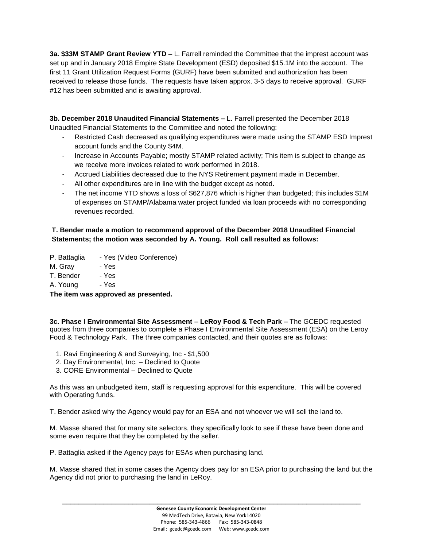**3a. \$33M STAMP Grant Review YTD** – L. Farrell reminded the Committee that the imprest account was set up and in January 2018 Empire State Development (ESD) deposited \$15.1M into the account. The first 11 Grant Utilization Request Forms (GURF) have been submitted and authorization has been received to release those funds. The requests have taken approx. 3-5 days to receive approval. GURF #12 has been submitted and is awaiting approval.

**3b. December 2018 Unaudited Financial Statements –** L. Farrell presented the December 2018 Unaudited Financial Statements to the Committee and noted the following:

- Restricted Cash decreased as qualifying expenditures were made using the STAMP ESD Imprest account funds and the County \$4M.
- Increase in Accounts Payable; mostly STAMP related activity; This item is subject to change as we receive more invoices related to work performed in 2018.
- Accrued Liabilities decreased due to the NYS Retirement payment made in December.
- All other expenditures are in line with the budget except as noted.
- The net income YTD shows a loss of \$627,876 which is higher than budgeted; this includes \$1M of expenses on STAMP/Alabama water project funded via loan proceeds with no corresponding revenues recorded.

## **T. Bender made a motion to recommend approval of the December 2018 Unaudited Financial Statements; the motion was seconded by A. Young. Roll call resulted as follows:**

P. Battaglia - Yes (Video Conference)

- M. Gray Yes
- T. Bender Yes
- A. Young Yes

**The item was approved as presented.**

**3c. Phase I Environmental Site Assessment – LeRoy Food & Tech Park –** The GCEDC requested quotes from three companies to complete a Phase I Environmental Site Assessment (ESA) on the Leroy Food & Technology Park. The three companies contacted, and their quotes are as follows:

- 1. Ravi Engineering & and Surveying, Inc \$1,500
- 2. Day Environmental, Inc. Declined to Quote
- 3. CORE Environmental Declined to Quote

As this was an unbudgeted item, staff is requesting approval for this expenditure. This will be covered with Operating funds.

T. Bender asked why the Agency would pay for an ESA and not whoever we will sell the land to.

M. Masse shared that for many site selectors, they specifically look to see if these have been done and some even require that they be completed by the seller.

P. Battaglia asked if the Agency pays for ESAs when purchasing land.

M. Masse shared that in some cases the Agency does pay for an ESA prior to purchasing the land but the Agency did not prior to purchasing the land in LeRoy.

**\_\_\_\_\_\_\_\_\_\_\_\_\_\_\_\_\_\_\_\_\_\_\_\_\_\_\_\_\_\_\_\_\_\_\_\_\_\_\_\_\_\_\_\_\_\_\_\_\_\_\_\_\_\_\_\_\_\_\_\_\_\_\_\_\_\_\_\_\_\_\_\_**